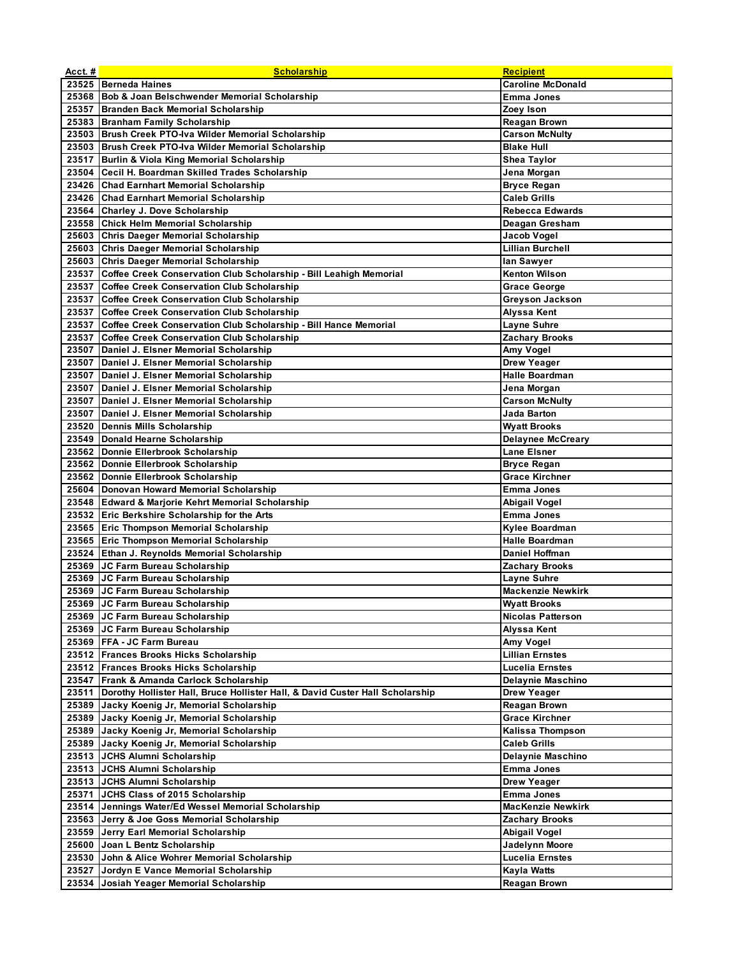| Acct.# | <b>Scholarship</b>                                                                  | <b>Recipient</b>                     |
|--------|-------------------------------------------------------------------------------------|--------------------------------------|
|        | 23525 Berneda Haines                                                                | <b>Caroline McDonald</b>             |
|        | 25368   Bob & Joan Belschwender Memorial Scholarship                                | <b>Emma Jones</b>                    |
|        | 25357 Branden Back Memorial Scholarship                                             | Zoey Ison                            |
|        | 25383 Branham Family Scholarship                                                    | <b>Reagan Brown</b>                  |
|        | 23503 Brush Creek PTO-Iva Wilder Memorial Scholarship                               | <b>Carson McNulty</b>                |
|        | 23503 Brush Creek PTO-Iva Wilder Memorial Scholarship                               | <b>Blake Hull</b>                    |
|        | 23517 Burlin & Viola King Memorial Scholarship                                      | <b>Shea Taylor</b>                   |
|        | 23504 Cecil H. Boardman Skilled Trades Scholarship                                  | Jena Morgan                          |
|        | 23426 Chad Earnhart Memorial Scholarship                                            | <b>Bryce Regan</b>                   |
|        | 23426 Chad Earnhart Memorial Scholarship                                            | <b>Caleb Grills</b>                  |
|        | 23564 Charley J. Dove Scholarship                                                   | <b>Rebecca Edwards</b>               |
|        | 23558 Chick Helm Memorial Scholarship                                               | Deagan Gresham                       |
|        | 25603 Chris Daeger Memorial Scholarship                                             | Jacob Vogel                          |
|        | 25603 Chris Daeger Memorial Scholarship                                             | <b>Lillian Burchell</b>              |
|        | 25603 Chris Daeger Memorial Scholarship                                             | lan Sawyer                           |
|        | 23537 Coffee Creek Conservation Club Scholarship - Bill Leahigh Memorial            | <b>Kenton Wilson</b>                 |
|        | 23537 Coffee Creek Conservation Club Scholarship                                    | <b>Grace George</b>                  |
|        | 23537 Coffee Creek Conservation Club Scholarship                                    | <b>Greyson Jackson</b>               |
|        | 23537 Coffee Creek Conservation Club Scholarship                                    | <b>Alyssa Kent</b>                   |
|        | 23537 Coffee Creek Conservation Club Scholarship - Bill Hance Memorial              |                                      |
|        | 23537 Coffee Creek Conservation Club Scholarship                                    | Layne Suhre<br><b>Zachary Brooks</b> |
|        | 23507 Daniel J. Elsner Memorial Scholarship                                         |                                      |
|        |                                                                                     | Amy Vogel                            |
|        | 23507 Daniel J. Elsner Memorial Scholarship                                         | <b>Drew Yeager</b>                   |
|        | 23507 Daniel J. Elsner Memorial Scholarship                                         | <b>Halle Boardman</b>                |
|        | 23507 Daniel J. Elsner Memorial Scholarship                                         | Jena Morgan                          |
|        | 23507   Daniel J. Elsner Memorial Scholarship                                       | <b>Carson McNulty</b>                |
|        | 23507 Daniel J. Elsner Memorial Scholarship                                         | Jada Barton                          |
|        | 23520 Dennis Mills Scholarship                                                      | <b>Wyatt Brooks</b>                  |
|        | 23549 Donald Hearne Scholarship                                                     | <b>Delaynee McCreary</b>             |
|        | 23562 Donnie Ellerbrook Scholarship                                                 | <b>Lane Elsner</b>                   |
|        | 23562 Donnie Ellerbrook Scholarship                                                 | <b>Bryce Regan</b>                   |
|        | 23562 Donnie Ellerbrook Scholarship                                                 | <b>Grace Kirchner</b>                |
|        | 25604 Donovan Howard Memorial Scholarship                                           | <b>Emma Jones</b>                    |
|        | 23548 Edward & Marjorie Kehrt Memorial Scholarship                                  | Abigail Vogel                        |
|        | 23532 Eric Berkshire Scholarship for the Arts                                       | Emma Jones                           |
|        | 23565 Eric Thompson Memorial Scholarship                                            | Kylee Boardman                       |
|        | 23565 Eric Thompson Memorial Scholarship                                            | <b>Halle Boardman</b>                |
|        | 23524 Ethan J. Reynolds Memorial Scholarship                                        | Daniel Hoffman                       |
|        | 25369 JC Farm Bureau Scholarship                                                    | <b>Zachary Brooks</b>                |
|        | 25369 JC Farm Bureau Scholarship                                                    | <b>Layne Suhre</b>                   |
|        | 25369 JC Farm Bureau Scholarship                                                    | <b>Mackenzie Newkirk</b>             |
|        | 25369 JC Farm Bureau Scholarship                                                    | <b>Wyatt Brooks</b>                  |
|        | 25369 JC Farm Bureau Scholarship                                                    | <b>Nicolas Patterson</b>             |
|        | 25369 JC Farm Bureau Scholarship                                                    | Alyssa Kent                          |
|        | 25369   FFA - JC Farm Bureau                                                        | Amy Vogel                            |
|        | 23512 Frances Brooks Hicks Scholarship                                              | <b>Lillian Ernstes</b>               |
|        | 23512 Frances Brooks Hicks Scholarship                                              | Lucelia Ernstes                      |
|        | 23547 Frank & Amanda Carlock Scholarship                                            | Delaynie Maschino                    |
|        | 23511 Dorothy Hollister Hall, Bruce Hollister Hall, & David Custer Hall Scholarship | Drew Yeager                          |
|        | 25389 Jacky Koenig Jr, Memorial Scholarship                                         | <b>Reagan Brown</b>                  |
|        | 25389 Jacky Koenig Jr, Memorial Scholarship                                         | <b>Grace Kirchner</b>                |
|        | 25389 Jacky Koenig Jr, Memorial Scholarship                                         | Kalissa Thompson                     |
|        | 25389 Jacky Koenig Jr, Memorial Scholarship                                         | <b>Caleb Grills</b>                  |
|        | 23513 JCHS Alumni Scholarship                                                       | Delaynie Maschino                    |
|        | 23513 JCHS Alumni Scholarship                                                       | Emma Jones                           |
|        | 23513 JCHS Alumni Scholarship                                                       | Drew Yeager                          |
|        | 25371 JCHS Class of 2015 Scholarship                                                | <b>Emma Jones</b>                    |
|        | 23514 Jennings Water/Ed Wessel Memorial Scholarship                                 | <b>MacKenzie Newkirk</b>             |
|        | 23563 Jerry & Joe Goss Memorial Scholarship                                         | <b>Zachary Brooks</b>                |
|        | 23559 Jerry Earl Memorial Scholarship                                               | <b>Abigail Vogel</b>                 |
|        | 25600 Joan L Bentz Scholarship                                                      | Jadelynn Moore                       |
|        | 23530 John & Alice Wohrer Memorial Scholarship                                      | Lucelia Ernstes                      |
| 23527  | Jordyn E Vance Memorial Scholarship                                                 | Kayla Watts                          |
| 23534  | Josiah Yeager Memorial Scholarship                                                  | <b>Reagan Brown</b>                  |
|        |                                                                                     |                                      |